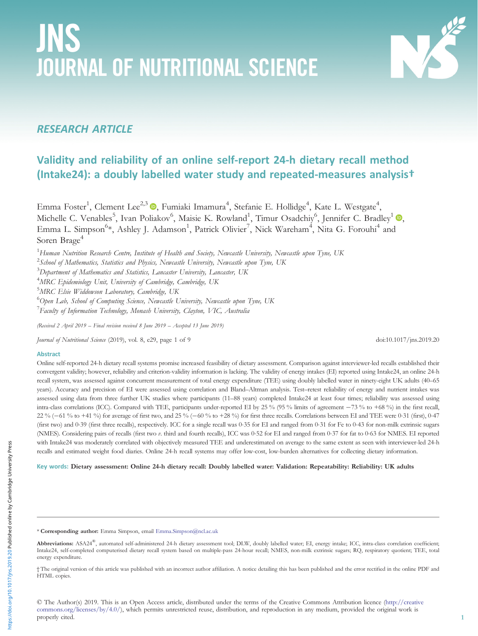# JNS JOURNAL OF NUTRITIONAL SCIENCE

# W

### RESEARCH ARTICLE

## Validity and reliability of an online self-report 24-h dietary recall method (Intake24): a doubly labelled water study and repeated-measures analysis†

Emma Foster<sup>1</sup>, Clement Lee<sup>2,3</sup> ❶, Fumiaki Imamura<sup>4</sup>, Stefanie E. Hollidge<sup>4</sup>, Kate L. Westgate<sup>4</sup>, Michelle C. Venables<sup>5</sup>[,](https://orcid.org/0000-0001-7461-9074) Ivan Poliakov<sup>6</sup>, Maisie K. Rowland<sup>1</sup>, Timur Osadchiy<sup>6</sup>, Jennifer C. Bradley<sup>1</sup> (D, Emma L. Simpson<sup>6\*</sup>, Ashley J. Adamson<sup>1</sup>, Patrick Olivier<sup>7</sup>, Nick Wareham<sup>4</sup>, Nita G. Forouhi<sup>4</sup> and Soren Brage<sup>4</sup>

 $^1$ Human Nutrition Research Centre, Institute of Health and Society, Newcastle University, Newcastle upon Tyne, UK

 $^2$ School of Mathematics, Statistics and Physics, Newcastle University, Newcastle upon Tyne, UK

 $^3$ Department of Mathematics and Statistics, Lancaster University, Lancaster, UK

<sup>4</sup>MRC Epidemiology Unit, University of Cambridge, Cambridge, UK

<sup>5</sup>MRC Elsie Widdowson Laboratory, Cambridge, UK

<sup>6</sup>Open Lab, School of Computing Science, Newcastle University, Newcastle upon Tyne, UK

<sup>7</sup> Faculty of Information Technology, Monash University, Clayton, VIC, Australia

(Received 2 April 2019 – Final revision received 8 June 2019 – Accepted 13 June 2019)

Journal of Nutritional Science (2019), vol. 8, e29, page 1 of 9 doi:10.1017/jns.2019.20

#### Abstract

Online self-reported 24-h dietary recall systems promise increased feasibility of dietary assessment. Comparison against interviewer-led recalls established their convergent validity; however, reliability and criterion-validity information is lacking. The validity of energy intakes (EI) reported using Intake24, an online 24-h recall system, was assessed against concurrent measurement of total energy expenditure (TEE) using doubly labelled water in ninety-eight UK adults (40–65 years). Accuracy and precision of EI were assessed using correlation and Bland–Altman analysis. Test–retest reliability of energy and nutrient intakes was assessed using data from three further UK studies where participants (11–88 years) completed Intake24 at least four times; reliability was assessed using intra-class correlations (ICC). Compared with TEE, participants under-reported EI by 25 % (95 % limits of agreement <sup>−</sup>73 % to +68 %) in the first recall, 22 % (−61 % to +41 %) for average of first two, and 25 % (−60 % to +28 %) for first three recalls. Correlations between EI and TEE were 0·31 (first), 0·47 (first two) and 0·39 (first three recalls), respectively. ICC for a single recall was 0·35 for EI and ranged from 0·31 for Fe to 0·43 for non-milk extrinsic sugars (NMES). Considering pairs of recalls (first two v. third and fourth recalls), ICC was 0·52 for EI and ranged from 0·37 for fat to 0·63 for NMES. EI reported with Intake24 was moderately correlated with objectively measured TEE and underestimated on average to the same extent as seen with interviewer-led 24-h recalls and estimated weight food diaries. Online 24-h recall systems may offer low-cost, low-burden alternatives for collecting dietary information.

Key words: Dietary assessment: Online 24-h dietary recall: Doubly labelled water: Validation: Repeatability: Reliability: UK adults

© The Author(s) 2019. This is an Open Access article, distributed under the terms of the Creative Commons Attribution licence ([http://creative](http://creativecommons.org/licenses/by/4.0/) [commons.org/licenses/by/4.0/](http://creativecommons.org/licenses/by/4.0/)), which permits unrestricted reuse, distribution, and reproduction in any medium, provided the original work is properly cited.

<sup>\*</sup> Corresponding author: Emma Simpson, email [Emma.Simpson@ncl.ac.uk](mailto:Emma.Simpson@ncl.ac.uk)

Abbreviations: ASA24®, automated self-administered 24-h dietary assessment tool; DLW, doubly labelled water; EI, energy intake; ICC, intra-class correlation coefficient; Intake24, self-completed computerised dietary recall system based on multiple-pass 24-hour recall; NMES, non-milk extrinsic sugars; RQ, respiratory quotient; TEE, total energy expenditure.

<sup>†</sup> The original version of this article was published with an incorrect author affiliation. A notice detailing this has been published and the error rectified in the online PDF and HTML copies.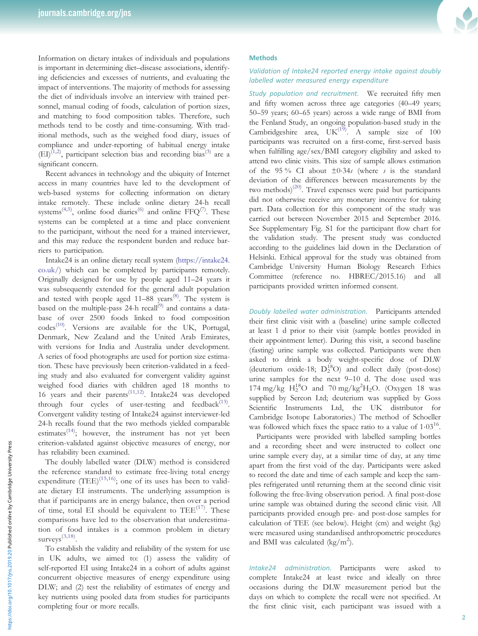Information on dietary intakes of individuals and populations is important in determining diet–disease associations, identifying deficiencies and excesses of nutrients, and evaluating the impact of interventions. The majority of methods for assessing the diet of individuals involve an interview with trained personnel, manual coding of foods, calculation of portion sizes, and matching to food composition tables. Therefore, such methods tend to be costly and time-consuming. With traditional methods, such as the weighed food diary, issues of compliance and under-reporting of habitual energy intake  $(EI)^{(1,2)}$  $(EI)^{(1,2)}$  $(EI)^{(1,2)}$ , participant selection bias and recording bias<sup>([3](#page-7-0))</sup> are a significant concern.

Recent advances in technology and the ubiquity of Internet access in many countries have led to the development of web-based systems for collecting information on dietary intake remotely. These include online dietary 24-h recall systems<sup>[\(4,5\)](#page-7-0)</sup>, online food diaries<sup>([6](#page-7-0))</sup> and online  $\text{FFQ}^{(7)}$  $\text{FFQ}^{(7)}$  $\text{FFQ}^{(7)}$ . These systems can be completed at a time and place convenient to the participant, without the need for a trained interviewer, and this may reduce the respondent burden and reduce barriers to participation.

Intake24 is an online dietary recall system ([https://intake24.](https://intake24.co.uk/) [co.uk/](https://intake24.co.uk/)) which can be completed by participants remotely. Originally designed for use by people aged 11–24 years it was subsequently extended for the general adult population and tested with people aged 11-88 years<sup>[\(8\)](#page-7-0)</sup>. The system is based on the multiple-pass 24-h recall<sup>[\(9\)](#page-7-0)</sup> and contains a database of over 2500 foods linked to food composition codes<sup>([10\)](#page-7-0)</sup>. Versions are available for the UK, Portugal, Denmark, New Zealand and the United Arab Emirates, with versions for India and Australia under development. A series of food photographs are used for portion size estimation. These have previously been criterion-validated in a feeding study and also evaluated for convergent validity against weighed food diaries with children aged 18 months to 16 years and their parents<sup>([11,12](#page-7-0))</sup>. Intake24 was developed through four cycles of user-testing and feedback $^{(13)}$  $^{(13)}$  $^{(13)}$ . Convergent validity testing of Intake24 against interviewer-led 24-h recalls found that the two methods yielded comparable estimates<sup>([14\)](#page-7-0)</sup>; however, the instrument has not yet been criterion-validated against objective measures of energy, nor has reliability been examined.

The doubly labelled water (DLW) method is considered the reference standard to estimate free-living total energy expenditure  $(TEE)^{(15,16)}$  $(TEE)^{(15,16)}$  $(TEE)^{(15,16)}$  $(TEE)^{(15,16)}$  $(TEE)^{(15,16)}$ ; one of its uses has been to validate dietary EI instruments. The underlying assumption is that if participants are in energy balance, then over a period of time, total EI should be equivalent to  $\text{TEE}^{(17)}$  $\text{TEE}^{(17)}$  $\text{TEE}^{(17)}$ . These comparisons have led to the observation that underestimation of food intakes is a common problem in dietary surveys<sup>([3,18\)](#page-7-0)</sup>.

To establish the validity and reliability of the system for use in UK adults, we aimed to: (1) assess the validity of self-reported EI using Intake24 in a cohort of adults against concurrent objective measures of energy expenditure using DLW; and (2) test the reliability of estimates of energy and key nutrients using pooled data from studies for participants completing four or more recalls.



#### **Methods**

#### Validation of Intake24 reported energy intake against doubly labelled water measured energy expenditure

Study population and recruitment. We recruited fifty men and fifty women across three age categories (40–49 years; 50–59 years; 60–65 years) across a wide range of BMI from the Fenland Study, an ongoing population-based study in the Cambridgeshire area,  $\overrightarrow{UK}^{(19)}$  $\overrightarrow{UK}^{(19)}$  $\overrightarrow{UK}^{(19)}$ . A sample size of 100 participants was recruited on a first-come, first-served basis when fulfilling age/sex/BMI category eligibility and asked to attend two clinic visits. This size of sample allows estimation of the 95 % CI about  $\pm 0.34s$  (where s is the standard deviation of the differences between measurements by the two methods)<sup>([20\)](#page-7-0)</sup>. Travel expenses were paid but participants did not otherwise receive any monetary incentive for taking part. Data collection for this component of the study was carried out between November 2015 and September 2016. See Supplementary Fig. S1 for the participant flow chart for the validation study. The present study was conducted according to the guidelines laid down in the Declaration of Helsinki. Ethical approval for the study was obtained from Cambridge University Human Biology Research Ethics Committee (reference no. HBREC/2015.16) and all participants provided written informed consent.

Doubly labelled water administration. Participants attended their first clinic visit with a (baseline) urine sample collected at least 1 d prior to their visit (sample bottles provided in their appointment letter). During this visit, a second baseline (fasting) urine sample was collected. Participants were then asked to drink a body weight-specific dose of DLW (deuterium oxide-18;  $D_2^{18}O$ ) and collect daily (post-dose) urine samples for the next 9–10 d. The dose used was 174 mg/kg  $H_2^{18}O$  and 70 mg/kg<sup>2</sup>H<sub>2</sub>O. (Oxygen 18 was supplied by Sercon Ltd; deuterium was supplied by Goss Scientific Instruments Ltd, the UK distributor for Cambridge Isotope Laboratories.) The method of Schoeller was followed which fixes the space ratio to a value of  $1.03^{16}$ .

Participants were provided with labelled sampling bottles and a recording sheet and were instructed to collect one urine sample every day, at a similar time of day, at any time apart from the first void of the day. Participants were asked to record the date and time of each sample and keep the samples refrigerated until returning them at the second clinic visit following the free-living observation period. A final post-dose urine sample was obtained during the second clinic visit. All participants provided enough pre- and post-dose samples for calculation of TEE (see below). Height (cm) and weight (kg) were measured using standardised anthropometric procedures and BMI was calculated  $\frac{\text{kg}}{\text{m}^2}$ .

Intake24 administration. Participants were asked to complete Intake24 at least twice and ideally on three occasions during the DLW measurement period but the days on which to complete the recall were not specified. At the first clinic visit, each participant was issued with a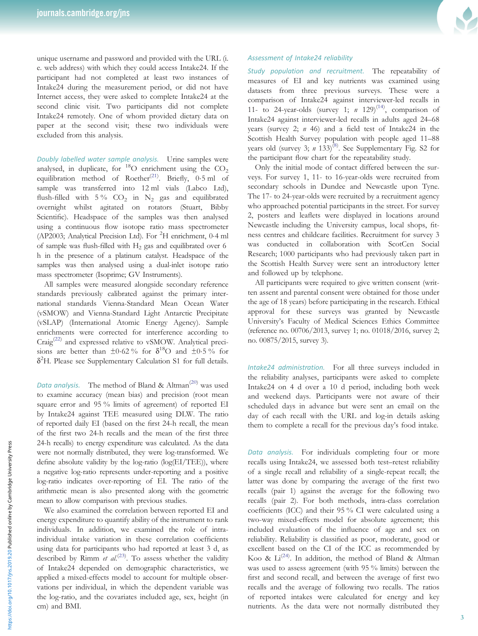unique username and password and provided with the URL (i. e. web address) with which they could access Intake24. If the participant had not completed at least two instances of Intake24 during the measurement period, or did not have Internet access, they were asked to complete Intake24 at the second clinic visit. Two participants did not complete Intake24 remotely. One of whom provided dietary data on paper at the second visit; these two individuals were excluded from this analysis.

Doubly labelled water sample analysis. Urine samples were analysed, in duplicate, for  $^{18}$ O enrichment using the  $CO<sub>2</sub>$ equilibration method of Roether<sup>([21\)](#page-8-0)</sup>. Briefly, 0.5 ml of sample was transferred into 12 ml vials (Labco Ltd), flush-filled with  $5\%$  CO<sub>2</sub> in N<sub>2</sub> gas and equilibrated overnight whilst agitated on rotators (Stuart, Bibby Scientific). Headspace of the samples was then analysed using a continuous flow isotope ratio mass spectrometer (AP2003; Analytical Precision Ltd). For <sup>2</sup>H enrichment, 0.4 ml of sample was flush-filled with  $H_2$  gas and equilibrated over 6 h in the presence of a platinum catalyst. Headspace of the samples was then analysed using a dual-inlet isotope ratio mass spectrometer (Isoprime; GV Instruments).

All samples were measured alongside secondary reference standards previously calibrated against the primary international standards Vienna-Standard Mean Ocean Water (vSMOW) and Vienna-Standard Light Antarctic Precipitate (vSLAP) (International Atomic Energy Agency). Sample enrichments were corrected for interference according to Craig[\(22](#page-8-0)) and expressed relative to vSMOW. Analytical precisions are better than  $\pm 0.62\%$  for  $\delta^{18}$ O and  $\pm 0.5\%$  for  $\delta^2$ H. Please see Supplementary Calculation S1 for full details.

Data analysis. The method of Bland & Altman<sup>([20\)](#page-7-0)</sup> was used to examine accuracy (mean bias) and precision (root mean square error and 95 % limits of agreement) of reported EI by Intake24 against TEE measured using DLW. The ratio of reported daily EI (based on the first 24-h recall, the mean of the first two 24-h recalls and the mean of the first three 24-h recalls) to energy expenditure was calculated. As the data were not normally distributed, they were log-transformed. We define absolute validity by the log-ratio (log(EI/TEE)), where a negative log-ratio represents under-reporting and a positive log-ratio indicates over-reporting of EI. The ratio of the arithmetic mean is also presented along with the geometric mean to allow comparison with previous studies.

We also examined the correlation between reported EI and energy expenditure to quantify ability of the instrument to rank individuals. In addition, we examined the role of intraindividual intake variation in these correlation coefficients using data for participants who had reported at least 3 d, as described by Rimm et  $al.^{(23)}$  $al.^{(23)}$  $al.^{(23)}$ . To assess whether the validity of Intake24 depended on demographic characteristics, we applied a mixed-effects model to account for multiple observations per individual, in which the dependent variable was the log-ratio, and the covariates included age, sex, height (in cm) and BMI.



#### Assessment of Intake24 reliability

Study population and recruitment. The repeatability of measures of EI and key nutrients was examined using datasets from three previous surveys. These were a comparison of Intake24 against interviewer-led recalls in 11- to 24-year-olds (survey 1;  $n$  129)<sup>([14\)](#page-7-0)</sup>, comparison of Intake24 against interviewer-led recalls in adults aged 24–68 years (survey 2;  $n$  46) and a field test of Intake24 in the Scottish Health Survey population with people aged 11–88 years old (survey 3;  $n$  133)<sup>[\(8\)](#page-7-0)</sup>. See Supplementary Fig. S2 for the participant flow chart for the repeatability study.

Only the initial mode of contact differed between the surveys. For survey 1, 11- to 16-year-olds were recruited from secondary schools in Dundee and Newcastle upon Tyne. The 17- to 24-year-olds were recruited by a recruitment agency who approached potential participants in the street. For survey 2, posters and leaflets were displayed in locations around Newcastle including the University campus, local shops, fitness centres and childcare facilities. Recruitment for survey 3 was conducted in collaboration with ScotCen Social Research; 1000 participants who had previously taken part in the Scottish Health Survey were sent an introductory letter and followed up by telephone.

All participants were required to give written consent (written assent and parental consent were obtained for those under the age of 18 years) before participating in the research. Ethical approval for these surveys was granted by Newcastle University's Faculty of Medical Sciences Ethics Committee (reference no. 00706/2013, survey 1; no. 01018/2016, survey 2; no. 00875/2015, survey 3).

Intake24 administration. For all three surveys included in the reliability analyses, participants were asked to complete Intake24 on 4 d over a 10 d period, including both week and weekend days. Participants were not aware of their scheduled days in advance but were sent an email on the day of each recall with the URL and log-in details asking them to complete a recall for the previous day's food intake.

Data analysis. For individuals completing four or more recalls using Intake24, we assessed both test–retest reliability of a single recall and reliability of a single-repeat recall; the latter was done by comparing the average of the first two recalls (pair 1) against the average for the following two recalls (pair 2). For both methods, intra-class correlation coefficients (ICC) and their 95 % CI were calculated using a two-way mixed-effects model for absolute agreement; this included evaluation of the influence of age and sex on reliability. Reliability is classified as poor, moderate, good or excellent based on the CI of the ICC as recommended by Koo &  $Li^{(24)}$  $Li^{(24)}$  $Li^{(24)}$ . In addition, the method of Bland & Altman was used to assess agreement (with 95 % limits) between the first and second recall, and between the average of first two recalls and the average of following two recalls. The ratios of reported intakes were calculated for energy and key nutrients. As the data were not normally distributed they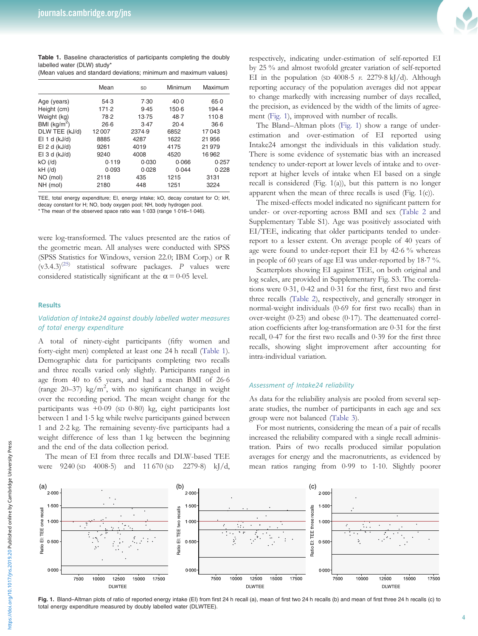Table 1. Baseline characteristics of participants completing the doubly labelled water (DLW) study\* (Mean values and standard deviations; minimum and maximum values)

|                | Mean  | SD     | Minimum | Maximum |
|----------------|-------|--------|---------|---------|
| Age (years)    | 54.3  | 7.30   | 40.0    | 65.0    |
| Height (cm)    | 171.2 | 9.45   | 150.6   | 194.4   |
| Weight (kg)    | 78.2  | 13.75  | 48.7    | 110.8   |
| BMI $(kq/m^2)$ | 26.6  | 3.47   | 20.4    | 36.6    |
| DLW TEE (kJ/d) | 12007 | 2374.9 | 6852    | 17043   |
| EI 1 d (kJ/d)  | 8885  | 4287   | 1622    | 21956   |
| EI 2 d (kJ/d)  | 9261  | 4019   | 4175    | 21979   |
| EI 3 d (kJ/d)  | 9240  | 4008   | 4520    | 16962   |
| $kO$ (/d)      | 0.119 | 0.030  | 0.066   | 0.257   |
| $KH$ (/d)      | 0.093 | 0.028  | 0.044   | 0.228   |
| NO (mol)       | 2118  | 435    | 1215    | 3131    |
| NH (mol)       | 2180  | 448    | 1251    | 3224    |

TEE, total energy expenditure; EI, energy intake; kO, decay constant for O; kH, decay constant for H; NO, body oxygen pool; NH, body hydrogen pool. \* The mean of the observed space ratio was 1·033 (range 1·016–1·046).

were log-transformed. The values presented are the ratios of the geometric mean. All analyses were conducted with SPSS (SPSS Statistics for Windows, version 22.0; IBM Corp.) or R  $(v3.4.3)^{(25)}$  $(v3.4.3)^{(25)}$  $(v3.4.3)^{(25)}$  statistical software packages. P values were considered statistically significant at the  $\alpha = 0.05$  level.

#### Results

#### Validation of Intake24 against doubly labelled water measures of total energy expenditure

A total of ninety-eight participants (fifty women and forty-eight men) completed at least one 24 h recall (Table 1). Demographic data for participants completing two recalls and three recalls varied only slightly. Participants ranged in age from 40 to 65 years, and had a mean BMI of 26·6 (range 20-37) kg/m<sup>2</sup>, with no significant change in weight over the recording period. The mean weight change for the participants was +0·09 (SD 0·80) kg, eight participants lost between 1 and 1·5 kg while twelve participants gained between 1 and 2·2 kg. The remaining seventy-five participants had a weight difference of less than 1 kg between the beginning and the end of the data collection period.

The mean of EI from three recalls and DLW-based TEE were  $9240 \, (\text{SD} \quad 4008.5)$  and  $11\,670 \, (\text{SD} \quad 2279.8)$  kJ/d,



respectively, indicating under-estimation of self-reported EI by 25 % and almost twofold greater variation of self-reported EI in the population (SD 4008.5 v. 2279.8 kJ/d). Although reporting accuracy of the population averages did not appear to change markedly with increasing number of days recalled, the precision, as evidenced by the width of the limits of agreement (Fig. 1), improved with number of recalls.

The Bland–Altman plots (Fig. 1) show a range of underestimation and over-estimation of EI reported using Intake24 amongst the individuals in this validation study. There is some evidence of systematic bias with an increased tendency to under-report at lower levels of intake and to overreport at higher levels of intake when EI based on a single recall is considered (Fig. 1(a)), but this pattern is no longer apparent when the mean of three recalls is used (Fig.  $1(c)$ ).

The mixed-effects model indicated no significant pattern for under- or over-reporting across BMI and sex [\(Table 2](#page-4-0) and Supplementary Table S1). Age was positively associated with EI/TEE, indicating that older participants tended to underreport to a lesser extent. On average people of 40 years of age were found to under-report their EI by 42·6 % whereas in people of 60 years of age EI was under-reported by 18·7 %.

Scatterplots showing EI against TEE, on both original and log scales, are provided in Supplementary Fig. S3. The correlations were 0·31, 0·42 and 0·31 for the first, first two and first three recalls ([Table 2](#page-4-0)), respectively, and generally stronger in normal-weight individuals (0·69 for first two recalls) than in over-weight (0·23) and obese (0·17). The deattenuated correlation coefficients after log-transformation are 0·31 for the first recall, 0·47 for the first two recalls and 0·39 for the first three recalls, showing slight improvement after accounting for intra-individual variation.

#### Assessment of Intake24 reliability

As data for the reliability analysis are pooled from several separate studies, the number of participants in each age and sex group were not balanced [\(Table 3\)](#page-4-0).

For most nutrients, considering the mean of a pair of recalls increased the reliability compared with a single recall administration. Pairs of two recalls produced similar population averages for energy and the macronutrients, as evidenced by mean ratios ranging from 0·99 to 1·10. Slightly poorer



Fig. 1. Bland–Altman plots of ratio of reported energy intake (EI) from first 24 h recall (a), mean of first two 24 h recalls (b) and mean of first three 24 h recalls (c) to total energy expenditure measured by doubly labelled water (DLWTEE).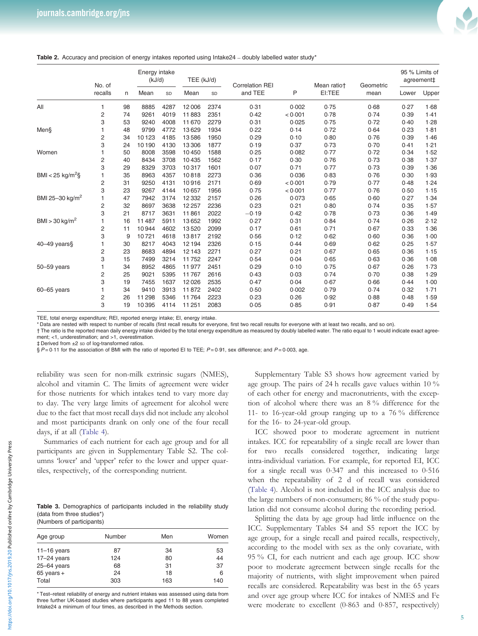

#### <span id="page-4-0"></span>Table 2. Accuracy and precision of energy intakes reported using Intake24 - doubly labelled water study\*

|                              | No. of         |    | Energy intake<br>(kJ/d) |      | TEE (kJ/d) |      | <b>Correlation REI</b> |         | Mean ratiot | Geometric |       | 95 % Limits of<br>agreement‡ |
|------------------------------|----------------|----|-------------------------|------|------------|------|------------------------|---------|-------------|-----------|-------|------------------------------|
|                              | recalls        | n  | Mean                    | SD   | Mean       | SD   | and TEE                | P       | EI:TEE      | mean      | Lower | Upper                        |
| All                          | 1              | 98 | 8885                    | 4287 | 12006      | 2374 | 0.31                   | 0.002   | 0.75        | 0.68      | 0.27  | 1.68                         |
|                              | $\overline{c}$ | 74 | 9261                    | 4019 | 11883      | 2351 | 0.42                   | < 0.001 | 0.78        | 0.74      | 0.39  | 1.41                         |
|                              | 3              | 53 | 9240                    | 4008 | 11670      | 2279 | 0.31                   | 0.025   | 0.75        | 0.72      | 0.40  | 1.28                         |
| Men§                         | 1              | 48 | 9799                    | 4772 | 13629      | 1934 | 0.22                   | 0.14    | 0.72        | 0.64      | 0.23  | 1.81                         |
|                              | $\overline{c}$ | 34 | 10123                   | 4185 | 13586      | 1950 | 0.29                   | 0.10    | 0.80        | 0.76      | 0.39  | 1.46                         |
|                              | 3              | 24 | 10 190                  | 4130 | 13306      | 1877 | 0.19                   | 0.37    | 0.73        | 0.70      | 0.41  | 1.21                         |
| Women                        | 1              | 50 | 8008                    | 3598 | 10450      | 1588 | 0.25                   | 0.082   | 0.77        | 0.72      | 0.34  | 1.52                         |
|                              | $\overline{c}$ | 40 | 8434                    | 3708 | 10435      | 1562 | 0.17                   | 0.30    | 0.76        | 0.73      | 0.38  | 1.37                         |
|                              | 3              | 29 | 8329                    | 3703 | 10317      | 1601 | 0.07                   | 0.71    | 0.77        | 0.73      | 0.39  | 1.36                         |
| BMI < 25 kg/m <sup>2</sup> § | 1              | 35 | 8963                    | 4357 | 10818      | 2273 | 0.36                   | 0.036   | 0.83        | 0.76      | 0.30  | 1.93                         |
|                              | $\overline{2}$ | 31 | 9250                    | 4131 | 10916      | 2171 | 0.69                   | < 0.001 | 0.79        | 0.77      | 0.48  | 1.24                         |
|                              | 3              | 23 | 9267                    | 4144 | 10657      | 1956 | 0.75                   | < 0.001 | 0.77        | 0.76      | 0.50  | 1.15                         |
| BMI 25-30 kg/m <sup>2</sup>  | 1              | 47 | 7942                    | 3174 | 12332      | 2157 | 0.26                   | 0.073   | 0.65        | 0.60      | 0.27  | 1.34                         |
|                              | $\overline{c}$ | 32 | 8697                    | 3638 | 12257      | 2236 | 0.23                   | 0.21    | 0.80        | 0.74      | 0.35  | 1.57                         |
|                              | 3              | 21 | 8717                    | 3631 | 11861      | 2022 | $-0.19$                | 0.42    | 0.78        | 0.73      | 0.36  | 1.49                         |
| BMI > 30 kg/m <sup>2</sup>   |                | 16 | 11487                   | 5911 | 13652      | 1992 | 0.27                   | 0.31    | 0.84        | 0.74      | 0.26  | 2.12                         |
|                              | $\overline{c}$ | 11 | 10944                   | 4602 | 13520      | 2099 | 0.17                   | 0.61    | 0.71        | 0.67      | 0.33  | 1.36                         |
|                              | 3              | 9  | 10721                   | 4618 | 13817      | 2192 | 0.56                   | 0.12    | 0.62        | 0.60      | 0.36  | 1.00                         |
| 40-49 years                  |                | 30 | 8217                    | 4043 | 12 194     | 2326 | 0.15                   | 0.44    | 0.69        | 0.62      | 0.25  | 1.57                         |
|                              | $\overline{2}$ | 23 | 8683                    | 4894 | 12143      | 2271 | 0.27                   | 0.21    | 0.67        | 0.65      | 0.36  | 1.15                         |
|                              | 3              | 15 | 7499                    | 3214 | 11752      | 2247 | 0.54                   | 0.04    | 0.65        | 0.63      | 0.36  | 1.08                         |
| $50 - 59$ years              | 1              | 34 | 8952                    | 4865 | 11977      | 2451 | 0.29                   | 0.10    | 0.75        | 0.67      | 0.26  | 1.73                         |
|                              | 2              | 25 | 9021                    | 5395 | 11767      | 2616 | 0.43                   | 0.03    | 0.74        | 0.70      | 0.38  | 1.29                         |
|                              | 3              | 19 | 7455                    | 1637 | 12026      | 2535 | 0.47                   | 0.04    | 0.67        | 0.66      | 0.44  | 1.00                         |
| $60 - 65$ years              | 1              | 34 | 9410                    | 3913 | 11872      | 2402 | 0.50                   | 0.002   | 0.79        | 0.74      | 0.32  | 1.71                         |
|                              | $\overline{c}$ | 26 | 11 298                  | 5346 | 11764      | 2223 | 0.23                   | 0.26    | 0.92        | 0.88      | 0.48  | 1.59                         |
|                              | 3              | 19 | 10395                   | 4114 | 11 251     | 2083 | 0.05                   | 0.85    | 0.91        | 0.87      | 0.49  | 1.54                         |

TEE, total energy expenditure; REI, reported energy intake; EI, energy intake.

\* Data are nested with respect to number of recalls (first recall results for everyone, first two recall results for everyone with at least two recalls, and so on).

† The ratio is the reported mean daily energy intake divided by the total energy expenditure as measured by doubly labelled water. The ratio equal to 1 would indicate exact agreement; <1, underestimation; and >1, overestimation.

‡ Derived from ±2 SD of log-transformed ratios.

§  $P = 0.11$  for the association of BMI with the ratio of reported EI to TEE;  $P = 0.91$ , sex difference; and  $P = 0.003$ , age.

reliability was seen for non-milk extrinsic sugars (NMES), alcohol and vitamin C. The limits of agreement were wider for those nutrients for which intakes tend to vary more day to day. The very large limits of agreement for alcohol were due to the fact that most recall days did not include any alcohol and most participants drank on only one of the four recall days, if at all [\(Table 4\)](#page-5-0).

Summaries of each nutrient for each age group and for all participants are given in Supplementary Table S2. The columns 'lower' and 'upper' refer to the lower and upper quartiles, respectively, of the corresponding nutrient.

Table 3. Demographics of participants included in the reliability study (data from three studies\*) (Numbers of participants)

| Age group     | Number | Men | Women |
|---------------|--------|-----|-------|
|               |        |     |       |
| $11-16$ years | 87     | 34  | 53    |
| $17-24$ years | 124    | 80  | 44    |
| 25-64 years   | 68     | 31  | 37    |
| 65 years +    | 24     | 18  | 6     |
| Total         | 303    | 163 | 140   |
|               |        |     |       |

\* Test–retest reliability of energy and nutrient intakes was assessed using data from three further UK-based studies where participants aged 11 to 88 years completed Intake24 a minimum of four times, as described in the Methods section.

Supplementary Table S3 shows how agreement varied by age group. The pairs of 24 h recalls gave values within 10 % of each other for energy and macronutrients, with the exception of alcohol where there was an 8 % difference for the 11- to 16-year-old group ranging up to a 76 % difference for the 16- to 24-year-old group.

ICC showed poor to moderate agreement in nutrient intakes. ICC for repeatability of a single recall are lower than for two recalls considered together, indicating large intra-individual variation. For example, for reported EI, ICC for a single recall was 0·347 and this increased to 0·516 when the repeatability of 2 d of recall was considered ([Table 4](#page-5-0)). Alcohol is not included in the ICC analysis due to the large numbers of non-consumers; 86 % of the study population did not consume alcohol during the recording period.

Splitting the data by age group had little influence on the ICC. Supplementary Tables S4 and S5 report the ICC by age group, for a single recall and paired recalls, respectively, according to the model with sex as the only covariate, with 95 % CI, for each nutrient and each age group. ICC show poor to moderate agreement between single recalls for the majority of nutrients, with slight improvement when paired recalls are considered. Repeatability was best in the 65 years and over age group where ICC for intakes of NMES and Fe were moderate to excellent (0·863 and 0·857, respectively)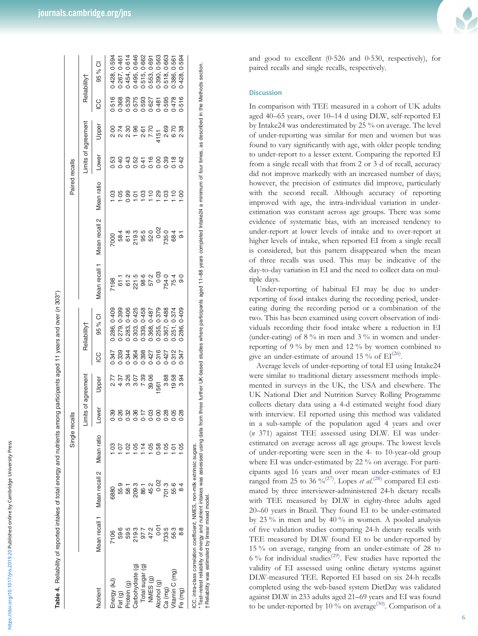|                       |                                 |                                               | Single recalls   |                                              |                              |                                                                                                                                                                                                                                                                                                                   |                           |               |               |                | Paired recalls                                |                                                                         |                                                 |                   |
|-----------------------|---------------------------------|-----------------------------------------------|------------------|----------------------------------------------|------------------------------|-------------------------------------------------------------------------------------------------------------------------------------------------------------------------------------------------------------------------------------------------------------------------------------------------------------------|---------------------------|---------------|---------------|----------------|-----------------------------------------------|-------------------------------------------------------------------------|-------------------------------------------------|-------------------|
|                       |                                 |                                               |                  |                                              | imits of agreement           |                                                                                                                                                                                                                                                                                                                   | Reliability               |               |               |                |                                               | imits of agreement                                                      |                                                 | Reliability†      |
| lutrient              | Mean recall 1                   | Mean recall 2                                 | Mean ratio       | Lower                                        | Jpper                        | ပ္မ                                                                                                                                                                                                                                                                                                               | 95 % CI                   | Mean recall 1 | Mean recall 2 | Mean ratio     | Lower                                         | Upper                                                                   | So                                              | 95 % CI           |
| inergy (kJ)           | 7106                            | 6880                                          |                  |                                              |                              | 0.347                                                                                                                                                                                                                                                                                                             | 0.286, 0.409              |               | 000           |                |                                               |                                                                         | 0.516                                           | 0.428, 0.594      |
| Fat (g)               |                                 |                                               | $\frac{1}{2}$    |                                              | ていのいのの<br>バルスのである<br>トラストラック | 0.339                                                                                                                                                                                                                                                                                                             | 0.399<br>0.279            |               |               |                |                                               |                                                                         | 0.368                                           | 0.267, 0.461      |
| rotein <sub>(g)</sub> |                                 |                                               | $\frac{20}{10}$  |                                              |                              |                                                                                                                                                                                                                                                                                                                   | 0.406<br>0.283,           |               |               |                |                                               |                                                                         |                                                 | 0.614<br>$-454,$  |
| Carbohydrate (g)      |                                 |                                               | $-05$            |                                              |                              |                                                                                                                                                                                                                                                                                                                   | 0.425<br>0.303,           |               |               |                |                                               |                                                                         |                                                 | 0.495, 0.646      |
| Total sugar (g)       | 8<br>8 8 9 7 8 7<br>8 8 9 7 8 7 |                                               | $1.14$<br>$1.05$ |                                              |                              |                                                                                                                                                                                                                                                                                                                   | 0.458<br>0.339,           |               |               |                |                                               |                                                                         |                                                 | 0.662             |
| NMES <sub>(9)</sub>   |                                 |                                               |                  |                                              |                              |                                                                                                                                                                                                                                                                                                                   | 0.487                     |               |               |                |                                               |                                                                         |                                                 | 0.691<br>0.515, ( |
| Alcohol (g)           |                                 | 0 + 0 + 0 0<br>5 0 0 0 0 0 0<br>5 0 0 0 0 0 0 | 0.58             | °.                                           | 561                          |                                                                                                                                                                                                                                                                                                                   | 0.379<br>0.368,<br>0.255, |               |               |                |                                               |                                                                         |                                                 | 0.390, 0.563      |
| Ca (mg)               | 733.5<br>56.3                   | 701.3                                         | $-05$            | $\begin{array}{c}\n0 \\ 0 \\ 0\n\end{array}$ |                              | $\begin{array}{cccc}\n 247 & 247 & 247 \\  258 & 257 & 257 \\  259 & 257 & 257 \\  258 & 257 & 257 \\  259 & 257 & 257 \\  259 & 257 & 257 \\  259 & 257 & 257 \\  259 & 257 & 257 \\  259 & 257 & 257 \\  259 & 257 & 257 \\  259 & 257 & 257 \\  259 & 257 & 257 \\  259 & 257 & 257 \\  259 & 257 & 257 \\  2$ | 0.488<br>0.367,           |               |               | 999597997      | 6<br>6 4 4 6 4 5 6 6 6 7<br>6 9 6 9 6 9 6 9 6 | 8 4 8 6 5 6 7 - 8 6 8<br>8 4 8 9 5 7 - 8 6 8 9<br>8 4 8 9 5 7 - 8 9 8 9 | 995<br>965 967 968<br>965 969 969<br>966 969 96 | 0.518, 0.663      |
| fitamin C (mg)        |                                 | 55.6                                          | ō                |                                              | 3.88<br>19.58                |                                                                                                                                                                                                                                                                                                                   | 0.374<br>0.251,           |               |               |                |                                               |                                                                         |                                                 | 0.561<br>0.386,   |
| Fe (mg)               | $\frac{8}{8}$                   | $\frac{8}{4}$                                 | $-05$            | ς<br>Ο                                       | 3.94                         |                                                                                                                                                                                                                                                                                                                   | 0.409<br>0.286,           | 0.6           |               | $\overline{5}$ |                                               |                                                                         |                                                 | 0.594<br>0.428,   |
|                       |                                 |                                               |                  |                                              |                              |                                                                                                                                                                                                                                                                                                                   |                           |               |               |                |                                               |                                                                         |                                                 |                   |

Table 4. Reliability of reported intakes of total energy and nutrients among participants aged 11 years and over (n 303\* Reliability of reported intakes of total energy and nutrients among participants aged 11 years and over (n 303\*)

https://doi.org/10.1017/jns.2019.20 Published online by Cambridge University Press

https://doi.org/10.1017/jns.2019.20 Published online by Cambridge University Press

\* Test-retest reliability of energy and nutrient intakes was assessed using data from three further UK-based studies where participants aged 11–88 years completed Intake24 a minimum of four times, as described in the Metho \* Test-retest reliability of energy and nutrient intakes was assessed using data from three further UK-based studies where participants aged 11-88 years completed Intake24 a minimum of four times, as described in the Metho CC, intra-class correlation coefficient; NMES, non-milk extrinsic sugars. ICC, intra-class correlation coefficient; NMES, non-milk extrinsic sugars. Reliability was estimated by linear mixed model.

and good to excellent (0 ·526 and 0 ·530, respectively), for paired recalls and single recalls, respectively.

#### **Discussion**

In comparison with TEE measured in a cohort of UK adults aged 40 –65 years, over 10 –14 d using DLW, self-reported EI by Intake24 was underestimated by 25 % on average. The level of under-reporting was similar for men and women but was found to vary signi ficantly with age, with older people tending to under-report to a lesser extent. Comparing the reported EI from a single recall with that from 2 or 3 d of recall, accuracy did not improve markedly with an increased number of days; however, the precision of estimates did improve, particularly with the second recall. Although accuracy of reporting improved with age, the intra-individual variation in underestimation was constant across age groups. There was some evidence of systematic bias, with an increased tendency to under-report at lower levels of intake and to over-report at higher levels of intake, when reported EI from a single recall is considered, but this pattern disappeared when the mean of three recalls was used. This may be indicative of the day-to-day variation in EI and the need to collect data on multiple days.

Under-reporting of habitual EI may be due to underreporting of food intakes during the recording period, undereating during the recording period or a combination of the two. This has been examined using covert observation of individuals recording their food intake where a reduction in EI (under-eating) of  $8\%$  in men and  $3\%$  in women and underreporting of 9 % by men and 12 % by women combined to give an under-estimate of around 15 % of  $EI^{(26)}$  $EI^{(26)}$  $EI^{(26)}$ .

Average levels of under-reporting of total EI using Intake24 were similar to traditional dietary assessment methods implemented in surveys in the UK, the USA and elsewhere. The UK National Diet and Nutrition Survey Rolling Programme collects dietary data using a 4-d estimated weight food diary with interview. EI reported using this method was validated in a sub-sample of the population aged 4 years and over (n 371) against TEE assessed using DLW. EI was underestimated on average across all age groups. The lowest levels of under-reporting were seen in the 4- to 10-year-old group where EI was under-estimated by 22 % on average. For participants aged 16 years and over mean under-estimates of EI ranged from 25 to 36 %<sup>[\(27](#page-8-0))</sup>. Lopes et al.<sup>([28](#page-8-0))</sup> compared EI estimated by three interviewer-administered 24-h dietary recalls with TEE measured by DLW in eighty-three adults aged 20 –60 years in Brazil. They found EI to be under-estimated by 23 % in men and by 40 % in women. A pooled analysis of five validation studies comparing 24-h dietary recalls with TEE measured by DLW found EI to be under-reported by 15 % on average, ranging from an under-estimate of 28 to  $6\%$  for individual studies<sup>([29](#page-8-0))</sup>. Few studies have reported the validity of EI assessed using online dietary systems against DLW-measured TEE. Reported EI based on six 24-h recalls completed using the web-based system DietDay was validated against DLW in 233 adults aged 21 –69 years and EI was found to be under-reported by 10% on average<sup>([30\)](#page-8-0)</sup>. Comparison of a

<span id="page-5-0"></span> $\mathbf{I}$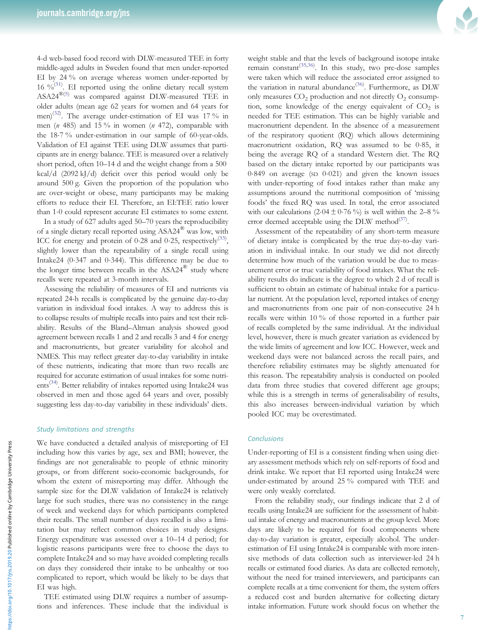4-d web-based food record with DLW-measured TEE in forty middle-aged adults in Sweden found that men under-reported EI by 24 % on average whereas women under-reported by 16  $\%^{(31)}$  $\%^{(31)}$  $\%^{(31)}$ . EI reported using the online dietary recall system ASA24®[\(5](#page-7-0)) was compared against DLW-measured TEE in older adults (mean age 62 years for women and 64 years for men)<sup>[\(32](#page-8-0))</sup>. The average under-estimation of EI was 17 % in men (n 485) and 15 % in women (n 472), comparable with the 18·7 % under-estimation in our sample of 60-year-olds. Validation of EI against TEE using DLW assumes that participants are in energy balance. TEE is measured over a relatively short period, often 10–14 d and the weight change from a 500 kcal/d (2092 kJ/d) deficit over this period would only be around 500 g. Given the proportion of the population who are over-weight or obese, many participants may be making efforts to reduce their EI. Therefore, an EI:TEE ratio lower than 1·0 could represent accurate EI estimates to some extent.

In a study of 627 adults aged 50–70 years the reproducibility of a single dietary recall reported using ASA24® was low, with ICC for energy and protein of  $0.28$  and  $0.25$ , respectively<sup>[\(33](#page-8-0))</sup>, slightly lower than the repeatability of a single recall using Intake24 (0·347 and 0·344). This difference may be due to the longer time between recalls in the ASA24® study where recalls were repeated at 3-month intervals.

Assessing the reliability of measures of EI and nutrients via repeated 24-h recalls is complicated by the genuine day-to-day variation in individual food intakes. A way to address this is to collapse results of multiple recalls into pairs and test their reliability. Results of the Bland–Altman analysis showed good agreement between recalls 1 and 2 and recalls 3 and 4 for energy and macronutrients, but greater variability for alcohol and NMES. This may reflect greater day-to-day variability in intake of these nutrients, indicating that more than two recalls are required for accurate estimation of usual intakes for some nutri-ents<sup>[\(34\)](#page-8-0)</sup>. Better reliability of intakes reported using Intake24 was observed in men and those aged 64 years and over, possibly suggesting less day-to-day variability in these individuals' diets.

#### Study limitations and strengths

We have conducted a detailed analysis of misreporting of EI including how this varies by age, sex and BMI; however, the findings are not generalisable to people of ethnic minority groups, or from different socio-economic backgrounds, for whom the extent of misreporting may differ. Although the sample size for the DLW validation of Intake24 is relatively large for such studies, there was no consistency in the range of week and weekend days for which participants completed their recalls. The small number of days recalled is also a limitation but may reflect common choices in study designs. Energy expenditure was assessed over a 10–14 d period; for logistic reasons participants were free to choose the days to complete Intake24 and so may have avoided completing recalls on days they considered their intake to be unhealthy or too complicated to report, which would be likely to be days that EI was high.

TEE estimated using DLW requires a number of assumptions and inferences. These include that the individual is



weight stable and that the levels of background isotope intake remain constant<sup>([35,36\)](#page-8-0)</sup>. In this study, two pre-dose samples were taken which will reduce the associated error assigned to the variation in natural abundance<sup>([36\)](#page-8-0)</sup>. Furthermore, as DLW only measures  $CO<sub>2</sub>$  production and not directly  $O<sub>2</sub>$  consumption, some knowledge of the energy equivalent of  $CO<sub>2</sub>$  is needed for TEE estimation. This can be highly variable and macronutrient dependent. In the absence of a measurement of the respiratory quotient (RQ) which allows determining macronutrient oxidation, RQ was assumed to be 0·85, it being the average RQ of a standard Western diet. The RQ based on the dietary intake reported by our participants was 0·849 on average (SD 0·021) and given the known issues with under-reporting of food intakes rather than make any assumptions around the nutritional composition of 'missing foods' the fixed RQ was used. In total, the error associated with our calculations  $(2.04 \pm 0.76 \%)$  is well within the 2–8% error deemed acceptable using the DLW method<sup>([37\)](#page-8-0)</sup>.

Assessment of the repeatability of any short-term measure of dietary intake is complicated by the true day-to-day variation in individual intake. In our study we did not directly determine how much of the variation would be due to measurement error or true variability of food intakes. What the reliability results do indicate is the degree to which 2 d of recall is sufficient to obtain an estimate of habitual intake for a particular nutrient. At the population level, reported intakes of energy and macronutrients from one pair of non-consecutive 24 h recalls were within 10 % of those reported in a further pair of recalls completed by the same individual. At the individual level, however, there is much greater variation as evidenced by the wide limits of agreement and low ICC. However, week and weekend days were not balanced across the recall pairs, and therefore reliability estimates may be slightly attenuated for this reason. The repeatability analysis is conducted on pooled data from three studies that covered different age groups; while this is a strength in terms of generalisability of results, this also increases between-individual variation by which pooled ICC may be overestimated.

#### **Conclusions**

Under-reporting of EI is a consistent finding when using dietary assessment methods which rely on self-reports of food and drink intake. We report that EI reported using Intake24 were under-estimated by around 25 % compared with TEE and were only weakly correlated.

From the reliability study, our findings indicate that 2 d of recalls using Intake24 are sufficient for the assessment of habitual intake of energy and macronutrients at the group level. More days are likely to be required for food components where day-to-day variation is greater, especially alcohol. The underestimation of EI using Intake24 is comparable with more intensive methods of data collection such as interviewer-led 24 h recalls or estimated food diaries. As data are collected remotely, without the need for trained interviewers, and participants can complete recalls at a time convenient for them, the system offers a reduced cost and burden alternative for collecting dietary intake information. Future work should focus on whether the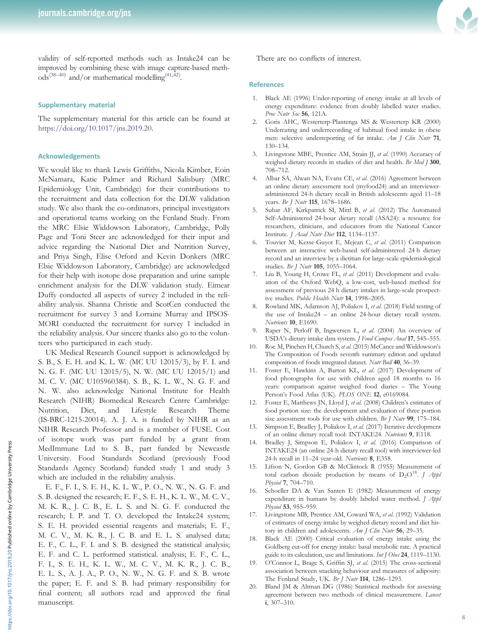<span id="page-7-0"></span>validity of self-reported methods such as Intake24 can be improved by combining these with image capture-based meth-ods<sup>[\(38](#page-8-0)-[40](#page-8-0))</sup> and/or mathematical modelling<sup>[\(41](#page-8-0),[42\)](#page-8-0)</sup>.

#### Supplementary material

The supplementary material for this article can be found at [https://doi.org/10.1017/jns.2019.20.](https://doi.org/10.1017/jns.2019.20)

#### Acknowledgements

We would like to thank Lewis Griffiths, Nicola Kimber, Eoin McNamara, Katie Palmer and Richard Salisbury (MRC Epidemiology Unit, Cambridge) for their contributions to the recruitment and data collection for the DLW validation study. We also thank the co-ordinators, principal investigators and operational teams working on the Fenland Study. From the MRC Elsie Widdowson Laboratory, Cambridge, Polly Page and Toni Steer are acknowledged for their input and advice regarding the National Diet and Nutrition Survey, and Priya Singh, Elise Orford and Kevin Donkers (MRC Elsie Widdowson Laboratory, Cambridge) are acknowledged for their help with isotope dose preparation and urine sample enrichment analysis for the DLW validation study. Eimear Duffy conducted all aspects of survey 2 included in the reliability analysis. Shanna Christie and ScotCen conducted the recruitment for survey 3 and Lorraine Murray and IPSOS-MORI conducted the recruitment for survey 1 included in the reliability analysis. Our sincere thanks also go to the volunteers who participated in each study.

UK Medical Research Council support is acknowledged by S. B., S. E. H. and K. L. W. (MC UU 12015/3), by F. I. and N. G. F. (MC UU 12015/5), N. W. (MC UU 12015/1) and M. C. V. (MC U105960384). S. B., K. L. W., N. G. F. and N. W. also acknowledge National Institute for Health Research (NIHR) Biomedical Research Centre Cambridge: Nutrition, Diet, and Lifestyle Research Theme (IS-BRC-1215-20014). A. J. A. is funded by NIHR as an NIHR Research Professor and is a member of FUSE. Cost of isotope work was part funded by a grant from MedImmune Ltd to S. B., part funded by Newcastle University. Food Standards Scotland (previously Food Standards Agency Scotland) funded study 1 and study 3 which are included in the reliability analysis.

E. F., F. I., S. E. H., K. L. W., P. O., N. W., N. G. F. and S. B. designed the research; E. F., S. E. H., K. L. W., M. C. V., M. K. R., J. C. B., E. L. S. and N. G. F. conducted the research; I. P. and T. O. developed the Intake24 system; S. E. H. provided essential reagents and materials; E. F., M. C. V., M. K. R., J. C. B. and E. L. S. analysed data; E. F., C. L., F. I. and S. B. designed the statistical analysis; E. F. and C. L. performed statistical. analysis; E. F., C. L., F. I., S. E. H., K. L. W., M. C. V., M. K. R., J. C. B., E. L. S., A. J. A., P. O., N. W., N. G. F. and S. B. wrote the paper; E. F. and S. B. had primary responsibility for final content; all authors read and approved the final manuscript.

There are no conflicts of interest.

#### **References**

- 1. Black AE (1996) Under-reporting of energy intake at all levels of energy expenditure: evidence from doubly labelled water studies. Proc Nutr Soc 56, 121A.
- 2. Goris AHC, Westerterp-Plantenga MS & Westerterp KR (2000) Undereating and underrecording of habitual food intake in obese men: selective underreporting of fat intake. Am J Clin Nutr 71, 130–134.
- 3. Livingstone MBE, Prentice AM, Strain JJ, et al. (1990) Accuracy of weighed dietary records in studies of diet and health. Br Med J 300, 708–712.
- 4. Albar SA, Alwan NA, Evans CE, et al. (2016) Agreement between an online dietary assessment tool (myfood24) and an intervieweradministered 24-h dietary recall in British adolescents aged 11–18 years. *Br J Nutr* 115, 1678–1686.
- Subar AF, Kirkpatrick SI, Mittl B, et al. (2012) The Automated Self-Administered 24-hour dietary recall (ASA24): a resource for researchers, clinicians, and educators from the National Cancer Institute. J Acad Nutr Diet 112, 1134–1137.
- Touvier M, Kesse-Guyot E, Mejean C, et al. (2011) Comparison between an interactive web-based self-administered 24 h dietary record and an interview by a dietitian for large-scale epidemiological studies. Br J Nutr 105, 1055-1064.
- 7. Liu B, Young H, Crowe FL, et al. (2011) Development and evaluation of the Oxford WebQ, a low-cost, web-based method for assessment of previous 24 h dietary intakes in large-scale prospective studies. Public Health Nutr 14, 1998-2005.
- 8. Rowland MK, Adamson AJ, Poliakov I, et al. (2018) Field testing of the use of Intake24 – an online 24-hour dietary recall system. Nutrients 10, E1690.
- Raper N, Perloff B, Ingwersen L, et al. (2004) An overview of USDA's dietary intake data system. J Food Compos Anal 17, 545-555.
- 10. Roe M, Pinchen H, Church S, et al. (2015) McCance and Widdowson's The Composition of Foods seventh summary edition and updated composition of foods integrated dataset. Nutr Bull 40, 36-39.
- 11. Foster E, Hawkins A, Barton KL, et al. (2017) Development of food photographs for use with children aged 18 months to 16 years: comparison against weighed food diaries – The Young Person's Food Atlas (UK). PLOS ONE 12, e0169084.
- 12. Foster E, Matthews JN, Lloyd J, et al. (2008) Children's estimates of food portion size: the development and evaluation of three portion size assessment tools for use with children. Br J Nutr 99, 175-184.
- Simpson E, Bradley J, Poliakov I, et al. (2017) Iterative development of an online dietary recall tool: INTAKE24. Nutrients 9, E118.
- 14. Bradley J, Simpson E, Poliakov I, et al. (2016) Comparison of INTAKE24 (an online 24-h dietary recall tool) with interviewer-led 24-h recall in 11-24 year-old. Nutrients 8, E358.
- 15. Lifson N, Gordon GB & McClintock R (1955) Measurement of total carbon dioxide production by means of  $D_2O^{18}$ . J Appl Physiol 7, 704–710.
- 16. Schoeller DA & Van Santen E (1982) Measurement of energy expenditure in humans by doubly labeled water method. J Appl Physiol 53, 955-959.
- 17. Livingstone MB, Prentice AM, Coward WA, et al. (1992) Validation of estimates of energy intake by weighed dietary record and diet history in children and adolescents.  $Am J$  Clin Nutr 56, 29-35.
- 18. Black AE (2000) Critical evaluation of energy intake using the Goldberg cut-off for energy intake: basal metabolic rate. A practical guide to its calculation, use and limitations. Int J Obes 24, 1119–1130.
- 19. O'Connor L, Brage S, Griffin SJ, et al. (2015) The cross-sectional association between snacking behaviour and measures of adiposity: The Fenland Study, UK. Br J Nutr 114, 1286-1293.
- 20. Bland JM & Altman DG (1986) Statistical methods for assessing agreement between two methods of clinical measurement. Lancet i, 307–310.